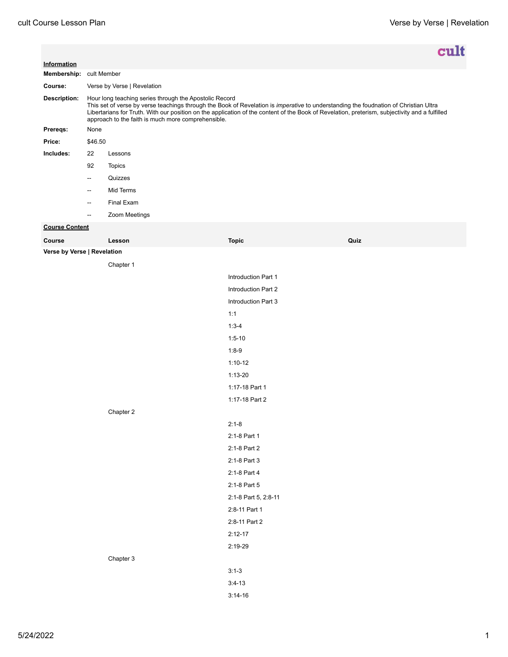|                             |                                                                                                                                                                                                                                                                                                                                                                                                        |               |                      |      | cult |  |
|-----------------------------|--------------------------------------------------------------------------------------------------------------------------------------------------------------------------------------------------------------------------------------------------------------------------------------------------------------------------------------------------------------------------------------------------------|---------------|----------------------|------|------|--|
| Information                 |                                                                                                                                                                                                                                                                                                                                                                                                        |               |                      |      |      |  |
| Membership: cult Member     |                                                                                                                                                                                                                                                                                                                                                                                                        |               |                      |      |      |  |
| Course:                     | Verse by Verse   Revelation                                                                                                                                                                                                                                                                                                                                                                            |               |                      |      |      |  |
| Description:                | Hour long teaching series through the Apostolic Record<br>This set of verse by verse teachings through the Book of Revelation is imperative to understanding the foudnation of Christian Ultra<br>Libertarians for Truth. With our position on the application of the content of the Book of Revelation, preterism, subjectivity and a fulfilled<br>approach to the faith is much more comprehensible. |               |                      |      |      |  |
| Prereqs:                    | None                                                                                                                                                                                                                                                                                                                                                                                                   |               |                      |      |      |  |
| Price:                      | \$46.50                                                                                                                                                                                                                                                                                                                                                                                                |               |                      |      |      |  |
| Includes:                   | 22                                                                                                                                                                                                                                                                                                                                                                                                     | Lessons       |                      |      |      |  |
|                             | 92                                                                                                                                                                                                                                                                                                                                                                                                     | <b>Topics</b> |                      |      |      |  |
|                             | $\overline{\phantom{a}}$                                                                                                                                                                                                                                                                                                                                                                               | Quizzes       |                      |      |      |  |
|                             | $\overline{a}$                                                                                                                                                                                                                                                                                                                                                                                         | Mid Terms     |                      |      |      |  |
|                             | $\overline{\phantom{a}}$                                                                                                                                                                                                                                                                                                                                                                               | Final Exam    |                      |      |      |  |
|                             | $\overline{a}$                                                                                                                                                                                                                                                                                                                                                                                         | Zoom Meetings |                      |      |      |  |
| <b>Course Content</b>       |                                                                                                                                                                                                                                                                                                                                                                                                        |               |                      |      |      |  |
| Course                      |                                                                                                                                                                                                                                                                                                                                                                                                        | Lesson        | <b>Topic</b>         | Quiz |      |  |
| Verse by Verse   Revelation |                                                                                                                                                                                                                                                                                                                                                                                                        |               |                      |      |      |  |
|                             |                                                                                                                                                                                                                                                                                                                                                                                                        | Chapter 1     |                      |      |      |  |
|                             |                                                                                                                                                                                                                                                                                                                                                                                                        |               | Introduction Part 1  |      |      |  |
|                             |                                                                                                                                                                                                                                                                                                                                                                                                        |               | Introduction Part 2  |      |      |  |
|                             |                                                                                                                                                                                                                                                                                                                                                                                                        |               | Introduction Part 3  |      |      |  |
|                             |                                                                                                                                                                                                                                                                                                                                                                                                        |               | 1:1                  |      |      |  |
|                             |                                                                                                                                                                                                                                                                                                                                                                                                        |               | $1:3-4$              |      |      |  |
|                             |                                                                                                                                                                                                                                                                                                                                                                                                        |               | $1:5 - 10$           |      |      |  |
|                             |                                                                                                                                                                                                                                                                                                                                                                                                        |               | $1:8-9$              |      |      |  |
|                             |                                                                                                                                                                                                                                                                                                                                                                                                        |               | $1:10-12$            |      |      |  |
|                             |                                                                                                                                                                                                                                                                                                                                                                                                        |               | $1:13-20$            |      |      |  |
|                             |                                                                                                                                                                                                                                                                                                                                                                                                        |               | 1:17-18 Part 1       |      |      |  |
|                             |                                                                                                                                                                                                                                                                                                                                                                                                        |               | 1:17-18 Part 2       |      |      |  |
|                             |                                                                                                                                                                                                                                                                                                                                                                                                        | Chapter 2     |                      |      |      |  |
|                             |                                                                                                                                                                                                                                                                                                                                                                                                        |               | $2:1-8$              |      |      |  |
|                             |                                                                                                                                                                                                                                                                                                                                                                                                        |               | 2:1-8 Part 1         |      |      |  |
|                             |                                                                                                                                                                                                                                                                                                                                                                                                        |               | 2:1-8 Part 2         |      |      |  |
|                             |                                                                                                                                                                                                                                                                                                                                                                                                        |               | 2:1-8 Part 3         |      |      |  |
|                             |                                                                                                                                                                                                                                                                                                                                                                                                        |               | 2:1-8 Part 4         |      |      |  |
|                             |                                                                                                                                                                                                                                                                                                                                                                                                        |               | 2:1-8 Part 5         |      |      |  |
|                             |                                                                                                                                                                                                                                                                                                                                                                                                        |               | 2:1-8 Part 5, 2:8-11 |      |      |  |
|                             |                                                                                                                                                                                                                                                                                                                                                                                                        |               | 2:8-11 Part 1        |      |      |  |
|                             |                                                                                                                                                                                                                                                                                                                                                                                                        |               | 2:8-11 Part 2        |      |      |  |
|                             |                                                                                                                                                                                                                                                                                                                                                                                                        |               | $2:12-17$            |      |      |  |
|                             |                                                                                                                                                                                                                                                                                                                                                                                                        |               | 2:19-29              |      |      |  |
|                             |                                                                                                                                                                                                                                                                                                                                                                                                        | Chapter 3     |                      |      |      |  |
|                             |                                                                                                                                                                                                                                                                                                                                                                                                        |               | $3:1-3$              |      |      |  |
|                             |                                                                                                                                                                                                                                                                                                                                                                                                        |               | $3:4-13$             |      |      |  |
|                             |                                                                                                                                                                                                                                                                                                                                                                                                        |               | $3:14-16$            |      |      |  |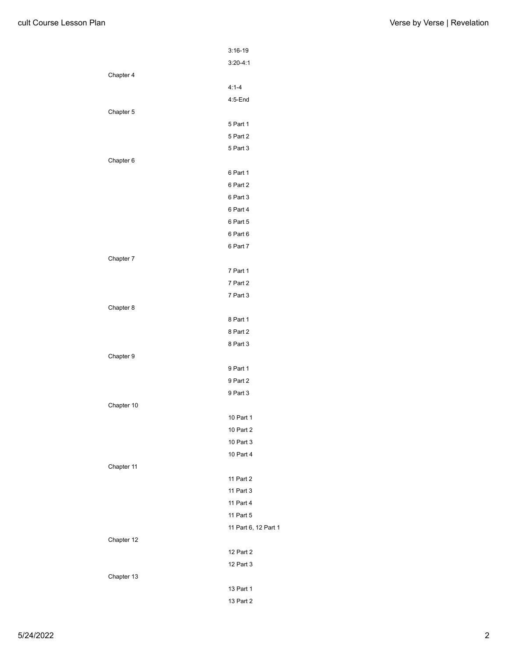|            | $3:16-19$            |
|------------|----------------------|
|            | $3:20 - 4:1$         |
| Chapter 4  |                      |
|            | $4:1 - 4$            |
|            | 4:5-End              |
| Chapter 5  |                      |
|            | 5 Part 1             |
|            | 5 Part 2             |
|            | 5 Part 3             |
| Chapter 6  |                      |
|            | 6 Part 1             |
|            | 6 Part 2             |
|            | 6 Part 3             |
|            | 6 Part 4             |
|            | 6 Part 5             |
|            | 6 Part 6             |
|            | 6 Part 7             |
| Chapter 7  |                      |
|            | 7 Part 1             |
|            | 7 Part 2             |
|            | 7 Part 3             |
| Chapter 8  |                      |
|            | 8 Part 1             |
|            | 8 Part 2             |
|            | 8 Part 3             |
| Chapter 9  |                      |
|            | 9 Part 1             |
|            | 9 Part 2             |
|            | 9 Part 3             |
| Chapter 10 |                      |
|            | 10 Part 1            |
|            | 10 Part 2            |
|            | 10 Part 3            |
|            | 10 Part 4            |
| Chapter 11 |                      |
|            | 11 Part 2            |
|            | 11 Part 3            |
|            | 11 Part 4            |
|            | 11 Part 5            |
|            | 11 Part 6, 12 Part 1 |
| Chapter 12 |                      |
|            | 12 Part 2            |
|            | 12 Part 3            |
| Chapter 13 |                      |
|            | 13 Part 1            |
|            | 13 Part 2            |